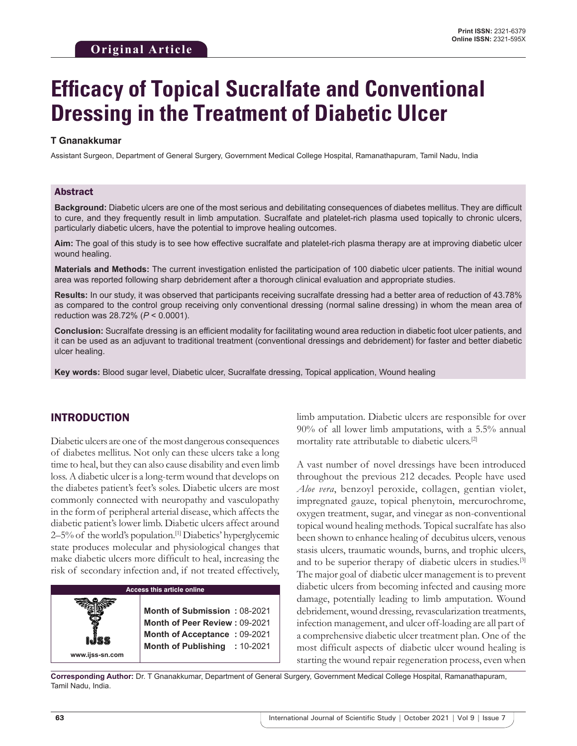# **Efficacy of Topical Sucralfate and Conventional Dressing in the Treatment of Diabetic Ulcer**

## **T Gnanakkumar**

Assistant Surgeon, Department of General Surgery, Government Medical College Hospital, Ramanathapuram, Tamil Nadu, India

#### Abstract

**Background:** Diabetic ulcers are one of the most serious and debilitating consequences of diabetes mellitus. They are difficult to cure, and they frequently result in limb amputation. Sucralfate and platelet-rich plasma used topically to chronic ulcers, particularly diabetic ulcers, have the potential to improve healing outcomes.

**Aim:** The goal of this study is to see how effective sucralfate and platelet-rich plasma therapy are at improving diabetic ulcer wound healing.

**Materials and Methods:** The current investigation enlisted the participation of 100 diabetic ulcer patients. The initial wound area was reported following sharp debridement after a thorough clinical evaluation and appropriate studies.

**Results:** In our study, it was observed that participants receiving sucralfate dressing had a better area of reduction of 43.78% as compared to the control group receiving only conventional dressing (normal saline dressing) in whom the mean area of reduction was 28.72% (*P* < 0.0001).

**Conclusion:** Sucralfate dressing is an efficient modality for facilitating wound area reduction in diabetic foot ulcer patients, and it can be used as an adjuvant to traditional treatment (conventional dressings and debridement) for faster and better diabetic ulcer healing.

**Key words:** Blood sugar level, Diabetic ulcer, Sucralfate dressing, Topical application, Wound healing

## INTRODUCTION

Diabetic ulcers are one of the most dangerous consequences of diabetes mellitus. Not only can these ulcers take a long time to heal, but they can also cause disability and even limb loss. A diabetic ulcer is a long-term wound that develops on the diabetes patient's feet's soles. Diabetic ulcers are most commonly connected with neuropathy and vasculopathy in the form of peripheral arterial disease, which affects the diabetic patient's lower limb. Diabetic ulcers affect around  $2-5%$  of the world's population.<sup>[1]</sup> Diabetics' hyperglycemic state produces molecular and physiological changes that make diabetic ulcers more difficult to heal, increasing the risk of secondary infection and, if not treated effectively,



limb amputation. Diabetic ulcers are responsible for over 90% of all lower limb amputations, with a 5.5% annual mortality rate attributable to diabetic ulcers.[2]

A vast number of novel dressings have been introduced throughout the previous 212 decades. People have used *Aloe vera*, benzoyl peroxide, collagen, gentian violet, impregnated gauze, topical phenytoin, mercurochrome, oxygen treatment, sugar, and vinegar as non-conventional topical wound healing methods. Topical sucralfate has also been shown to enhance healing of decubitus ulcers, venous stasis ulcers, traumatic wounds, burns, and trophic ulcers, and to be superior therapy of diabetic ulcers in studies.[3] The major goal of diabetic ulcer management is to prevent diabetic ulcers from becoming infected and causing more damage, potentially leading to limb amputation. Wound debridement, wound dressing, revascularization treatments, infection management, and ulcer off-loading are all part of a comprehensive diabetic ulcer treatment plan. One of the most difficult aspects of diabetic ulcer wound healing is starting the wound repair regeneration process, even when

**Corresponding Author:** Dr. T Gnanakkumar, Department of General Surgery, Government Medical College Hospital, Ramanathapuram, Tamil Nadu, India.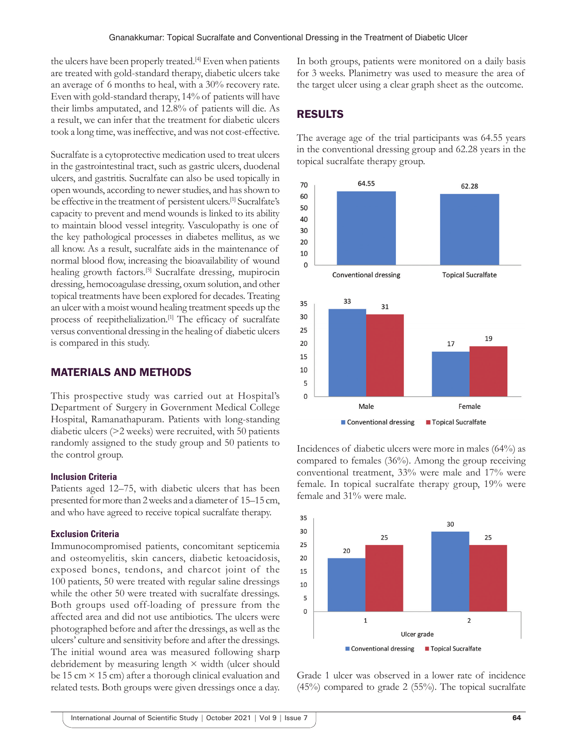the ulcers have been properly treated.<sup>[4]</sup> Even when patients are treated with gold-standard therapy, diabetic ulcers take an average of 6 months to heal, with a 30% recovery rate. Even with gold-standard therapy, 14% of patients will have their limbs amputated, and 12.8% of patients will die. As a result, we can infer that the treatment for diabetic ulcers took a long time, was ineffective, and was not cost-effective.

Sucralfate is a cytoprotective medication used to treat ulcers in the gastrointestinal tract, such as gastric ulcers, duodenal ulcers, and gastritis. Sucralfate can also be used topically in open wounds, according to newer studies, and has shown to be effective in the treatment of persistent ulcers.[1] Sucralfate's capacity to prevent and mend wounds is linked to its ability to maintain blood vessel integrity. Vasculopathy is one of the key pathological processes in diabetes mellitus, as we all know. As a result, sucralfate aids in the maintenance of normal blood flow, increasing the bioavailability of wound healing growth factors.<sup>[5]</sup> Sucralfate dressing, mupirocin dressing, hemocoagulase dressing, oxum solution, and other topical treatments have been explored for decades. Treating an ulcer with a moist wound healing treatment speeds up the process of reepithelialization.<sup>[1]</sup> The efficacy of sucralfate versus conventional dressing in the healing of diabetic ulcers is compared in this study.

# MATERIALS AND METHODS

This prospective study was carried out at Hospital's Department of Surgery in Government Medical College Hospital, Ramanathapuram. Patients with long-standing diabetic ulcers (>2 weeks) were recruited, with 50 patients randomly assigned to the study group and 50 patients to the control group.

#### **Inclusion Criteria**

Patients aged 12–75, with diabetic ulcers that has been presented for more than 2weeks and a diameter of 15–15 cm, and who have agreed to receive topical sucralfate therapy.

#### **Exclusion Criteria**

Immunocompromised patients, concomitant septicemia and osteomyelitis, skin cancers, diabetic ketoacidosis, exposed bones, tendons, and charcot joint of the 100 patients, 50 were treated with regular saline dressings while the other 50 were treated with sucralfate dressings. Both groups used off-loading of pressure from the affected area and did not use antibiotics. The ulcers were photographed before and after the dressings, as well as the ulcers' culture and sensitivity before and after the dressings. The initial wound area was measured following sharp debridement by measuring length × width (ulcer should be 15 cm  $\times$  15 cm) after a thorough clinical evaluation and related tests. Both groups were given dressings once a day. In both groups, patients were monitored on a daily basis for 3 weeks. Planimetry was used to measure the area of the target ulcer using a clear graph sheet as the outcome.

## RESULTS

The average age of the trial participants was 64.55 years in the conventional dressing group and 62.28 years in the topical sucralfate therapy group.



Incidences of diabetic ulcers were more in males (64%) as compared to females (36%). Among the group receiving conventional treatment, 33% were male and 17% were female. In topical sucralfate therapy group, 19% were female and 31% were male.



Grade 1 ulcer was observed in a lower rate of incidence (45%) compared to grade 2 (55%). The topical sucralfate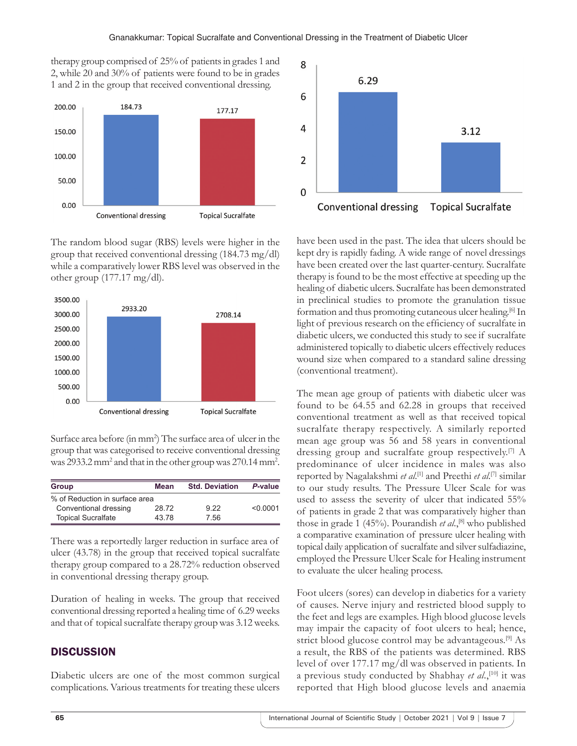therapy group comprised of 25% of patients in grades 1 and 2, while 20 and 30% of patients were found to be in grades 1 and 2 in the group that received conventional dressing.



The random blood sugar (RBS) levels were higher in the group that received conventional dressing (184.73 mg/dl) while a comparatively lower RBS level was observed in the other group (177.17 mg/dl).



Surface area before (in mm<sup>2</sup>) The surface area of ulcer in the group that was categorised to receive conventional dressing was 2933.2 mm<sup>2</sup> and that in the other group was 270.14 mm<sup>2</sup>.

| Group                          | Mean  | <b>Std. Deviation</b> | P-value  |
|--------------------------------|-------|-----------------------|----------|
| % of Reduction in surface area |       |                       |          |
| Conventional dressing          | 28.72 | 922                   | < 0.0001 |
| <b>Topical Sucralfate</b>      | 4378  | 7.56                  |          |

There was a reportedly larger reduction in surface area of ulcer (43.78) in the group that received topical sucralfate therapy group compared to a 28.72% reduction observed in conventional dressing therapy group.

Duration of healing in weeks. The group that received conventional dressing reported a healing time of 6.29 weeks and that of topical sucralfate therapy group was 3.12 weeks.

# **DISCUSSION**

Diabetic ulcers are one of the most common surgical complications. Various treatments for treating these ulcers



have been used in the past. The idea that ulcers should be kept dry is rapidly fading. A wide range of novel dressings have been created over the last quarter-century. Sucralfate therapy is found to be the most effective at speeding up the healing of diabetic ulcers. Sucralfate has been demonstrated in preclinical studies to promote the granulation tissue formation and thus promoting cutaneous ulcer healing.[6] In light of previous research on the efficiency of sucralfate in diabetic ulcers, we conducted this study to see if sucralfate administered topically to diabetic ulcers effectively reduces wound size when compared to a standard saline dressing (conventional treatment).

The mean age group of patients with diabetic ulcer was found to be 64.55 and 62.28 in groups that received conventional treatment as well as that received topical sucralfate therapy respectively. A similarly reported mean age group was 56 and 58 years in conventional dressing group and sucralfate group respectively.<sup>[7]</sup> A predominance of ulcer incidence in males was also reported by Nagalakshmi *et al*. [1] and Preethi *et al*. [7] similar to our study results. The Pressure Ulcer Scale for was used to assess the severity of ulcer that indicated 55% of patients in grade 2 that was comparatively higher than those in grade 1 (45%). Pourandish *et al*.,<sup>[8]</sup> who published a comparative examination of pressure ulcer healing with topical daily application of sucralfate and silver sulfadiazine, employed the Pressure Ulcer Scale for Healing instrument to evaluate the ulcer healing process.

Foot ulcers (sores) can develop in diabetics for a variety of causes. Nerve injury and restricted blood supply to the feet and legs are examples. High blood glucose levels may impair the capacity of foot ulcers to heal; hence, strict blood glucose control may be advantageous.[9] As a result, the RBS of the patients was determined. RBS level of over 177.17 mg/dl was observed in patients. In a previous study conducted by Shabhay *et al*.,[10] it was reported that High blood glucose levels and anaemia